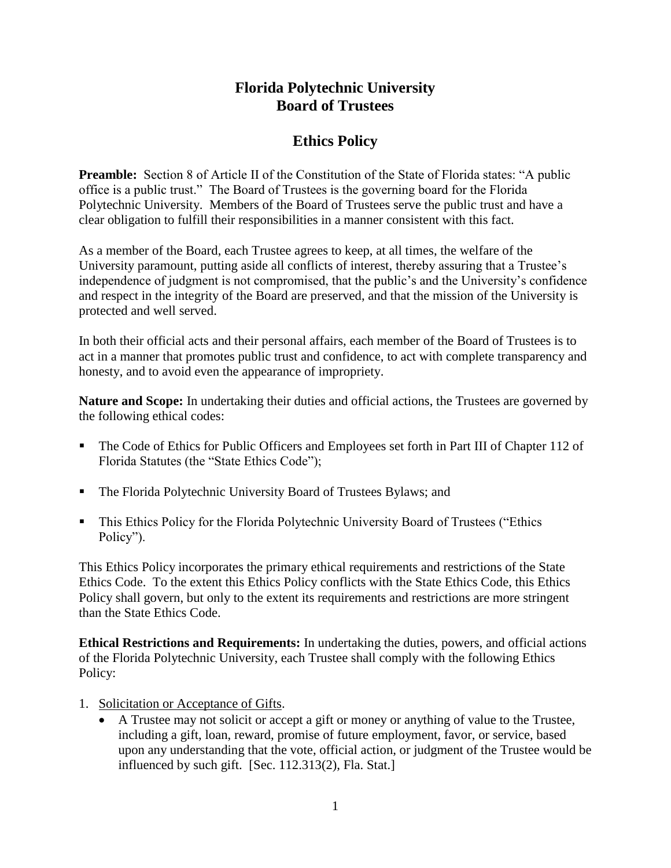## **Florida Polytechnic University Board of Trustees**

## **Ethics Policy**

**Preamble:** Section 8 of Article II of the Constitution of the State of Florida states: "A public office is a public trust." The Board of Trustees is the governing board for the Florida Polytechnic University. Members of the Board of Trustees serve the public trust and have a clear obligation to fulfill their responsibilities in a manner consistent with this fact.

As a member of the Board, each Trustee agrees to keep, at all times, the welfare of the University paramount, putting aside all conflicts of interest, thereby assuring that a Trustee's independence of judgment is not compromised, that the public's and the University's confidence and respect in the integrity of the Board are preserved, and that the mission of the University is protected and well served.

In both their official acts and their personal affairs, each member of the Board of Trustees is to act in a manner that promotes public trust and confidence, to act with complete transparency and honesty, and to avoid even the appearance of impropriety.

**Nature and Scope:** In undertaking their duties and official actions, the Trustees are governed by the following ethical codes:

- The Code of Ethics for Public Officers and Employees set forth in Part III of Chapter 112 of Florida Statutes (the "State Ethics Code");
- The Florida Polytechnic University Board of Trustees Bylaws; and
- **This Ethics Policy for the Florida Polytechnic University Board of Trustees ("Ethics**" Policy").

This Ethics Policy incorporates the primary ethical requirements and restrictions of the State Ethics Code. To the extent this Ethics Policy conflicts with the State Ethics Code, this Ethics Policy shall govern, but only to the extent its requirements and restrictions are more stringent than the State Ethics Code.

**Ethical Restrictions and Requirements:** In undertaking the duties, powers, and official actions of the Florida Polytechnic University, each Trustee shall comply with the following Ethics Policy:

- 1. Solicitation or Acceptance of Gifts.
	- A Trustee may not solicit or accept a gift or money or anything of value to the Trustee, including a gift, loan, reward, promise of future employment, favor, or service, based upon any understanding that the vote, official action, or judgment of the Trustee would be influenced by such gift. [Sec. 112.313(2), Fla. Stat.]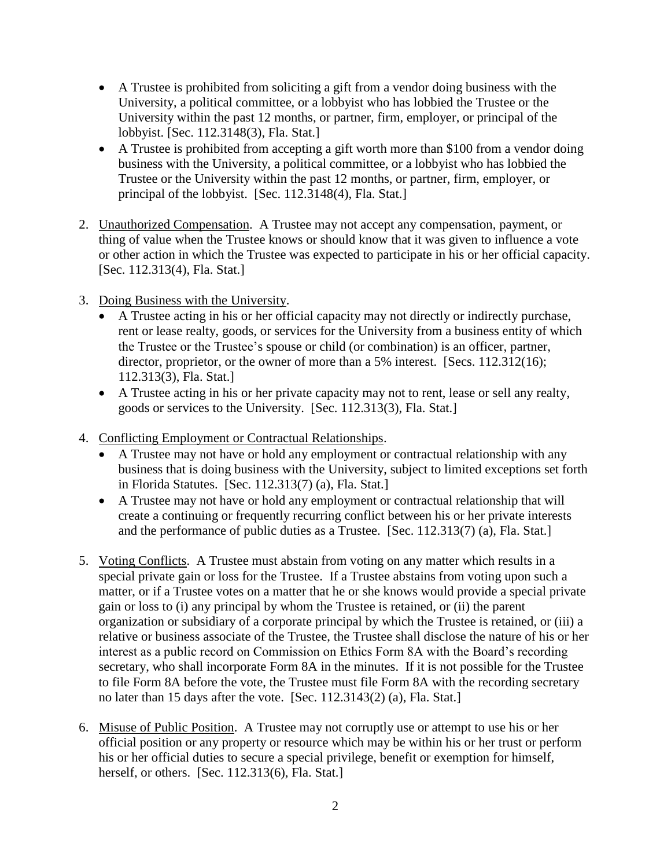- A Trustee is prohibited from soliciting a gift from a vendor doing business with the University, a political committee, or a lobbyist who has lobbied the Trustee or the University within the past 12 months, or partner, firm, employer, or principal of the lobbyist. [Sec. 112.3148(3), Fla. Stat.]
- A Trustee is prohibited from accepting a gift worth more than \$100 from a vendor doing business with the University, a political committee, or a lobbyist who has lobbied the Trustee or the University within the past 12 months, or partner, firm, employer, or principal of the lobbyist. [Sec. 112.3148(4), Fla. Stat.]
- 2. Unauthorized Compensation. A Trustee may not accept any compensation, payment, or thing of value when the Trustee knows or should know that it was given to influence a vote or other action in which the Trustee was expected to participate in his or her official capacity. [Sec. 112.313(4), Fla. Stat.]
- 3. Doing Business with the University.
	- A Trustee acting in his or her official capacity may not directly or indirectly purchase, rent or lease realty, goods, or services for the University from a business entity of which the Trustee or the Trustee's spouse or child (or combination) is an officer, partner, director, proprietor, or the owner of more than a 5% interest. [Secs. 112.312(16); 112.313(3), Fla. Stat.]
	- A Trustee acting in his or her private capacity may not to rent, lease or sell any realty, goods or services to the University. [Sec. 112.313(3), Fla. Stat.]
- 4. Conflicting Employment or Contractual Relationships.
	- A Trustee may not have or hold any employment or contractual relationship with any business that is doing business with the University, subject to limited exceptions set forth in Florida Statutes. [Sec. 112.313(7) (a), Fla. Stat.]
	- A Trustee may not have or hold any employment or contractual relationship that will create a continuing or frequently recurring conflict between his or her private interests and the performance of public duties as a Trustee. [Sec. 112.313(7) (a), Fla. Stat.]
- 5. Voting Conflicts. A Trustee must abstain from voting on any matter which results in a special private gain or loss for the Trustee. If a Trustee abstains from voting upon such a matter, or if a Trustee votes on a matter that he or she knows would provide a special private gain or loss to (i) any principal by whom the Trustee is retained, or (ii) the parent organization or subsidiary of a corporate principal by which the Trustee is retained, or (iii) a relative or business associate of the Trustee, the Trustee shall disclose the nature of his or her interest as a public record on Commission on Ethics Form 8A with the Board's recording secretary, who shall incorporate Form 8A in the minutes. If it is not possible for the Trustee to file Form 8A before the vote, the Trustee must file Form 8A with the recording secretary no later than 15 days after the vote. [Sec. 112.3143(2) (a), Fla. Stat.]
- 6. Misuse of Public Position. A Trustee may not corruptly use or attempt to use his or her official position or any property or resource which may be within his or her trust or perform his or her official duties to secure a special privilege, benefit or exemption for himself, herself, or others. [Sec. 112.313(6), Fla. Stat.]